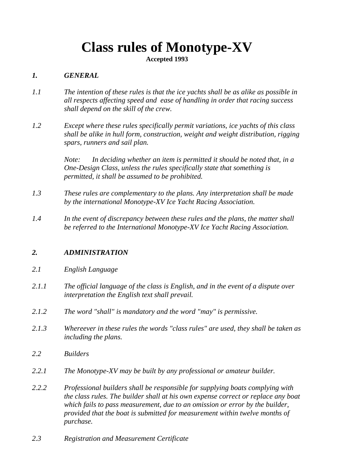## **Class rules of Monotype-XV**

**Accepted 1993**

## *1. GENERAL*

- *1.1 The intention of these rules is that the ice yachts shall be as alike as possible in all respects affecting speed and ease of handling in order that racing success shall depend on the skill of the crew.*
- *1.2 Except where these rules specifically permit variations, ice yachts of this class shall be alike in hull form, construction, weight and weight distribution, rigging spars, runners and sail plan.*

*Note: In deciding whether an item is permitted it should be noted that, in a One-Design Class, unless the rules specifically state that something is permitted, it shall be assumed to be prohibited.*

- *1.3 These rules are complementary to the plans. Any interpretation shall be made by the international Monotype-XV Ice Yacht Racing Association.*
- *1.4 In the event of discrepancy between these rules and the plans, the matter shall be referred to the International Monotype-XV Ice Yacht Racing Association.*

## *2. ADMINISTRATION*

- *2.1 English Language*
- *2.1.1 The official language of the class is English, and in the event of a dispute over interpretation the English text shall prevail.*
- *2.1.2 The word "shall" is mandatory and the word "may" is permissive.*
- *2.1.3 Whereever in these rules the words "class rules" are used, they shall be taken as including the plans.*
- *2.2 Builders*
- *2.2.1 The Monotype-XV may be built by any professional or amateur builder.*
- *2.2.2 Professional builders shall be responsible for supplying boats complying with the class rules. The builder shall at his own expense correct or replace any boat which fails to pass measurement, due to an omission or error by the builder, provided that the boat is submitted for measurement within twelve months of purchase.*
- *2.3 Registration and Measurement Certificate*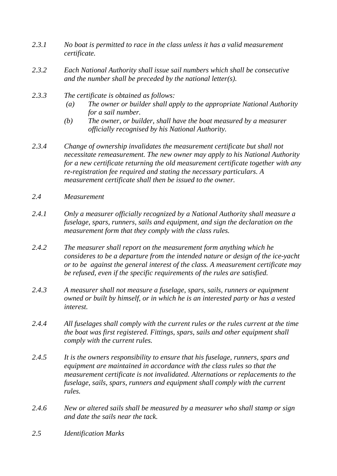- *2.3.1 No boat is permitted to race in the class unless it has a valid measurement certificate.*
- *2.3.2 Each National Authority shall issue sail numbers which shall be consecutive and the number shall be preceded by the national letter(s).*
- *2.3.3 The certificate is obtained as follows:*
	- *(a) The owner or builder shall apply to the appropriate National Authority for a sail number.*
	- *(b) The owner, or builder, shall have the boat measured by a measurer officially recognised by his National Authority.*
- *2.3.4 Change of ownership invalidates the measurement certificate but shall not necessitate remeasurement. The new owner may apply to his National Authority for a new certificate returning the old measurement certificate together with any re-registration fee required and stating the necessary particulars. A measurement certificate shall then be issued to the owner.*
- *2.4 Measurement*
- *2.4.1 Only a measurer officially recognized by a National Authority shall measure a fuselage, spars, runners, sails and equipment, and sign the declaration on the measurement form that they comply with the class rules.*
- *2.4.2 The measurer shall report on the measurement form anything which he consideres to be a departure from the intended nature or design of the ice-yacht or to be against the general interest of the class. A measurement certificate may be refused, even if the specific requirements of the rules are satisfied.*
- *2.4.3 A measurer shall not measure a fuselage, spars, sails, runners or equipment owned or built by himself, or in which he is an interested party or has a vested interest.*
- *2.4.4 All fuselages shall comply with the current rules or the rules current at the time the boat was first registered. Fittings, spars, sails and other equipment shall comply with the current rules.*
- *2.4.5 It is the owners responsibility to ensure that his fuselage, runners, spars and equipment are maintained in accordance with the class rules so that the measurement certificate is not invalidated. Alternations or replacements to the fuselage, sails, spars, runners and equipment shall comply with the current rules.*
- *2.4.6 New or altered sails shall be measured by a measurer who shall stamp or sign and date the sails near the tack.*
- *2.5 Identification Marks*